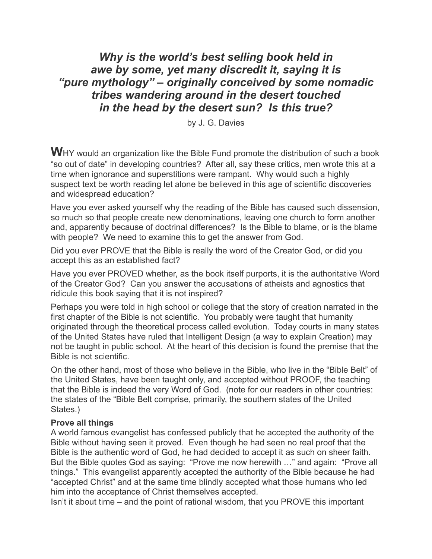# *Why is the world's best selling book held in awe by some, yet many discredit it, saying it is "pure mythology" – originally conceived by some nomadic tribes wandering around in the desert touched in the head by the desert sun? Is this true?*

by J. G. Davies

**W**HY would an organization like the Bible Fund promote the distribution of such a book "so out of date" in developing countries? After all, say these critics, men wrote this at a time when ignorance and superstitions were rampant. Why would such a highly suspect text be worth reading let alone be believed in this age of scientific discoveries and widespread education?

Have you ever asked yourself why the reading of the Bible has caused such dissension, so much so that people create new denominations, leaving one church to form another and, apparently because of doctrinal differences? Is the Bible to blame, or is the blame with people? We need to examine this to get the answer from God.

Did you ever PROVE that the Bible is really the word of the Creator God, or did you accept this as an established fact?

Have you ever PROVED whether, as the book itself purports, it is the authoritative Word of the Creator God? Can you answer the accusations of atheists and agnostics that ridicule this book saying that it is not inspired?

Perhaps you were told in high school or college that the story of creation narrated in the first chapter of the Bible is not scientific. You probably were taught that humanity originated through the theoretical process called evolution. Today courts in many states of the United States have ruled that Intelligent Design (a way to explain Creation) may not be taught in public school. At the heart of this decision is found the premise that the Bible is not scientific.

On the other hand, most of those who believe in the Bible, who live in the "Bible Belt" of the United States, have been taught only, and accepted without PROOF, the teaching that the Bible is indeed the very Word of God. (note for our readers in other countries: the states of the "Bible Belt comprise, primarily, the southern states of the United States.)

# **Prove all things**

A world famous evangelist has confessed publicly that he accepted the authority of the Bible without having seen it proved. Even though he had seen no real proof that the Bible is the authentic word of God, he had decided to accept it as such on sheer faith. But the Bible quotes God as saying: "Prove me now herewith …" and again: "Prove all things." This evangelist apparently accepted the authority of the Bible because he had "accepted Christ" and at the same time blindly accepted what those humans who led him into the acceptance of Christ themselves accepted.

Isn't it about time – and the point of rational wisdom, that you PROVE this important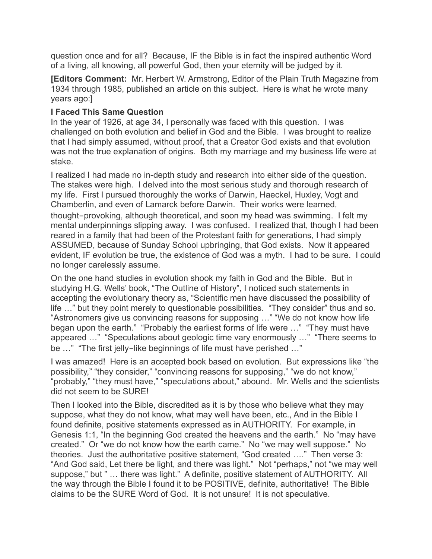question once and for all? Because, IF the Bible is in fact the inspired authentic Word of a living, all knowing, all powerful God, then your eternity will be judged by it.

**[Editors Comment:** Mr. Herbert W. Armstrong, Editor of the Plain Truth Magazine from 1934 through 1985, published an article on this subject. Here is what he wrote many years ago:]

# **I Faced This Same Question**

In the year of 1926, at age 34, I personally was faced with this question. I was challenged on both evolution and belief in God and the Bible. I was brought to realize that I had simply assumed, without proof, that a Creator God exists and that evolution was not the true explanation of origins. Both my marriage and my business life were at stake.

I realized I had made no in-depth study and research into either side of the question. The stakes were high. I delved into the most serious study and thorough research of my life. First I pursued thoroughly the works of Darwin, Haeckel, Huxley, Vogt and Chamberlin, and even of Lamarck before Darwin. Their works were learned, thought-provoking, although theoretical, and soon my head was swimming. I felt my mental underpinnings slipping away. I was confused. I realized that, though I had been reared in a family that had been of the Protestant faith for generations, I had simply ASSUMED, because of Sunday School upbringing, that God exists. Now it appeared evident, IF evolution be true, the existence of God was a myth. I had to be sure. I could no longer carelessly assume.

On the one hand studies in evolution shook my faith in God and the Bible. But in studying H.G. Wells' book, "The Outline of History", I noticed such statements in accepting the evolutionary theory as, "Scientific men have discussed the possibility of life …" but they point merely to questionable possibilities. "They consider" thus and so. "Astronomers give us convincing reasons for supposing …" "We do not know how life began upon the earth." "Probably the earliest forms of life were …" "They must have appeared …" "Speculations about geologic time vary enormously …" "There seems to be …" "The first jelly-like beginnings of life must have perished …"

I was amazed! Here is an accepted book based on evolution. But expressions like "the possibility," "they consider," "convincing reasons for supposing," "we do not know," "probably," "they must have," "speculations about," abound. Mr. Wells and the scientists did not seem to be SURE!

Then I looked into the Bible, discredited as it is by those who believe what they may suppose, what they do not know, what may well have been, etc., And in the Bible I found definite, positive statements expressed as in AUTHORITY. For example, in Genesis 1:1, "In the beginning God created the heavens and the earth." No "may have created." Or "we do not know how the earth came." No "we may well suppose." No theories. Just the authoritative positive statement, "God created …." Then verse 3: "And God said, Let there be light, and there was light." Not "perhaps," not "we may well suppose," but " … there was light." A definite, positive statement of AUTHORITY. All the way through the Bible I found it to be POSITIVE, definite, authoritative! The Bible claims to be the SURE Word of God. It is not unsure! It is not speculative.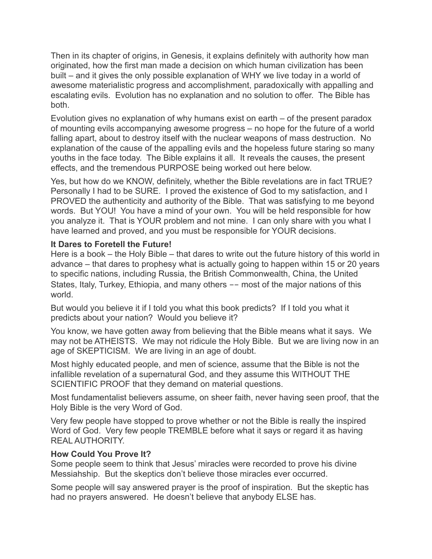Then in its chapter of origins, in Genesis, it explains definitely with authority how man originated, how the first man made a decision on which human civilization has been built – and it gives the only possible explanation of WHY we live today in a world of awesome materialistic progress and accomplishment, paradoxically with appalling and escalating evils. Evolution has no explanation and no solution to offer. The Bible has both.

Evolution gives no explanation of why humans exist on earth – of the present paradox of mounting evils accompanying awesome progress – no hope for the future of a world falling apart, about to destroy itself with the nuclear weapons of mass destruction. No explanation of the cause of the appalling evils and the hopeless future staring so many youths in the face today. The Bible explains it all. It reveals the causes, the present effects, and the tremendous PURPOSE being worked out here below.

Yes, but how do we KNOW, definitely, whether the Bible revelations are in fact TRUE? Personally I had to be SURE. I proved the existence of God to my satisfaction, and I PROVED the authenticity and authority of the Bible. That was satisfying to me beyond words. But YOU! You have a mind of your own. You will be held responsible for how you analyze it. That is YOUR problem and not mine. I can only share with you what I have learned and proved, and you must be responsible for YOUR decisions.

# **It Dares to Foretell the Future!**

Here is a book – the Holy Bible – that dares to write out the future history of this world in advance – that dares to prophesy what is actually going to happen within 15 or 20 years to specific nations, including Russia, the British Commonwealth, China, the United States, Italy, Turkey, Ethiopia, and many others -- most of the major nations of this world.

But would you believe it if I told you what this book predicts? If I told you what it predicts about your nation? Would you believe it?

You know, we have gotten away from believing that the Bible means what it says. We may not be ATHEISTS. We may not ridicule the Holy Bible. But we are living now in an age of SKEPTICISM. We are living in an age of doubt.

Most highly educated people, and men of science, assume that the Bible is not the infallible revelation of a supernatural God, and they assume this WITHOUT THE SCIENTIFIC PROOF that they demand on material questions.

Most fundamentalist believers assume, on sheer faith, never having seen proof, that the Holy Bible is the very Word of God.

Very few people have stopped to prove whether or not the Bible is really the inspired Word of God. Very few people TREMBLE before what it says or regard it as having REAL AUTHORITY.

# **How Could You Prove It?**

Some people seem to think that Jesus' miracles were recorded to prove his divine Messiahship. But the skeptics don't believe those miracles ever occurred.

Some people will say answered prayer is the proof of inspiration. But the skeptic has had no prayers answered. He doesn't believe that anybody ELSE has.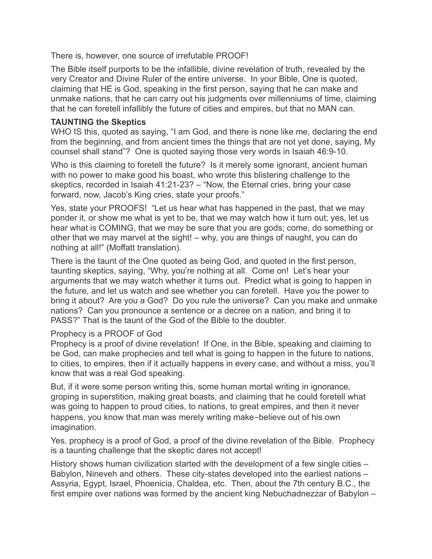There is, however, one source of irrefutable PROOF!

The Bible itself purports to be the infallible, divine revelation of truth, revealed by the very Creator and Divine Ruler of the entire universe. In your Bible, One is quoted, claiming that HE is God, speaking in the first person, saying that he can make and unmake nations, that he can carry out his judgments over millenniums of time, claiming that he can foretell infallibly the future of cities and empires, but that no MAN can.

# **TAUNTING the Skeptics**

WHO IS this, quoted as saying, "I am God, and there is none like me, declaring the end from the beginning, and from ancient times the things that are not yet done, saying, My counsel shall stand"? One is quoted saying those very words in Isaiah 46:9-10.

Who is this claiming to foretell the future? Is it merely some ignorant, ancient human with no power to make good his boast, who wrote this blistering challenge to the skeptics, recorded in Isaiah 41:21-23? – "Now, the Eternal cries, bring your case forward, now, Jacob's King cries, state your proofs."

Yes, state your PROOFS! "Let us hear what has happened in the past, that we may ponder it, or show me what is yet to be, that we may watch how it turn out; yes, let us hear what is COMING, that we may be sure that you are gods; come, do something or other that we may marvel at the sight! – why, you are things of naught, you can do nothing at all!" (Moffatt translation).

There is the taunt of the One quoted as being God, and quoted in the first person, taunting skeptics, saying, "Why, you're nothing at all. Come on! Let's hear your arguments that we may watch whether it turns out. Predict what is going to happen in the future, and let us watch and see whether you can foretell. Have you the power to bring it about? Are you a God? Do you rule the universe? Can you make and unmake nations? Can you pronounce a sentence or a decree on a nation, and bring it to PASS?" That is the taunt of the God of the Bible to the doubter.

# Prophecy is a PROOF of God

Prophecy is a proof of divine revelation! If One, in the Bible, speaking and claiming to be God, can make prophecies and tell what is going to happen in the future to nations, to cities, to empires, then if it actually happens in every case, and without a miss, you'll know that was a real God speaking.

But, if it were some person writing this, some human mortal writing in ignorance, groping in superstition, making great boasts, and claiming that he could foretell what was going to happen to proud cities, to nations, to great empires, and then it never happens, you know that man was merely writing make-believe out of his own imagination.

Yes, prophecy is a proof of God, a proof of the divine revelation of the Bible. Prophecy is a taunting challenge that the skeptic dares not accept!

History shows human civilization started with the development of a few single cities – Babylon, Nineveh and others. These city-states developed into the earliest nations – Assyria, Egypt, Israel, Phoenicia, Chaldea, etc. Then, about the 7th century B.C., the first empire over nations was formed by the ancient king Nebuchadnezzar of Babylon –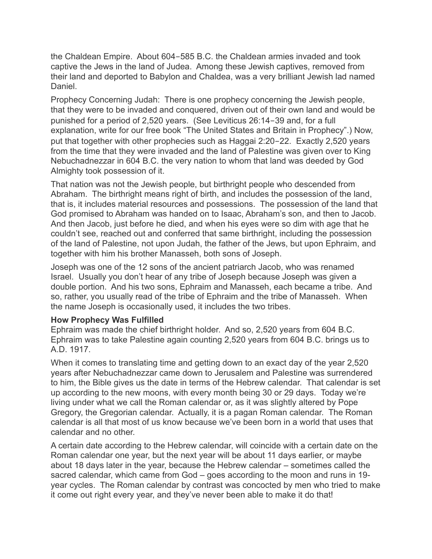the Chaldean Empire. About 604-585 B.C. the Chaldean armies invaded and took captive the Jews in the land of Judea. Among these Jewish captives, removed from their land and deported to Babylon and Chaldea, was a very brilliant Jewish lad named Daniel.

Prophecy Concerning Judah: There is one prophecy concerning the Jewish people, that they were to be invaded and conquered, driven out of their own land and would be punished for a period of 2,520 years. (See Leviticus 26:14-39 and, for a full explanation, write for our free book "The United States and Britain in Prophecy".) Now, put that together with other prophecies such as Haggai 2:20-22. Exactly 2,520 years from the time that they were invaded and the land of Palestine was given over to King Nebuchadnezzar in 604 B.C. the very nation to whom that land was deeded by God Almighty took possession of it.

That nation was not the Jewish people, but birthright people who descended from Abraham. The birthright means right of birth, and includes the possession of the land, that is, it includes material resources and possessions. The possession of the land that God promised to Abraham was handed on to Isaac, Abraham's son, and then to Jacob. And then Jacob, just before he died, and when his eyes were so dim with age that he couldn't see, reached out and conferred that same birthright, including the possession of the land of Palestine, not upon Judah, the father of the Jews, but upon Ephraim, and together with him his brother Manasseh, both sons of Joseph.

Joseph was one of the 12 sons of the ancient patriarch Jacob, who was renamed Israel. Usually you don't hear of any tribe of Joseph because Joseph was given a double portion. And his two sons, Ephraim and Manasseh, each became a tribe. And so, rather, you usually read of the tribe of Ephraim and the tribe of Manasseh. When the name Joseph is occasionally used, it includes the two tribes.

# **How Prophecy Was Fulfilled**

Ephraim was made the chief birthright holder. And so, 2,520 years from 604 B.C. Ephraim was to take Palestine again counting 2,520 years from 604 B.C. brings us to A.D. 1917.

When it comes to translating time and getting down to an exact day of the year 2,520 years after Nebuchadnezzar came down to Jerusalem and Palestine was surrendered to him, the Bible gives us the date in terms of the Hebrew calendar. That calendar is set up according to the new moons, with every month being 30 or 29 days. Today we're living under what we call the Roman calendar or, as it was slightly altered by Pope Gregory, the Gregorian calendar. Actually, it is a pagan Roman calendar. The Roman calendar is all that most of us know because we've been born in a world that uses that calendar and no other.

A certain date according to the Hebrew calendar, will coincide with a certain date on the Roman calendar one year, but the next year will be about 11 days earlier, or maybe about 18 days later in the year, because the Hebrew calendar – sometimes called the sacred calendar, which came from God – goes according to the moon and runs in 19 year cycles. The Roman calendar by contrast was concocted by men who tried to make it come out right every year, and they've never been able to make it do that!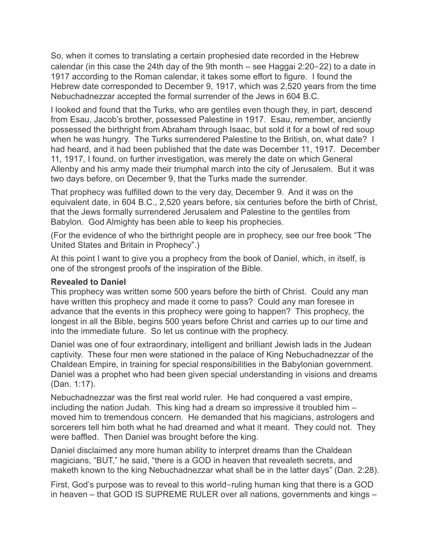So, when it comes to translating a certain prophesied date recorded in the Hebrew calendar (in this case the 24th day of the 9th month – see Haggai 2:20-22) to a date in 1917 according to the Roman calendar, it takes some effort to figure. I found the Hebrew date corresponded to December 9, 1917, which was 2,520 years from the time Nebuchadnezzar accepted the formal surrender of the Jews in 604 B.C.

I looked and found that the Turks, who are gentiles even though they, in part, descend from Esau, Jacob's brother, possessed Palestine in 1917. Esau, remember, anciently possessed the birthright from Abraham through Isaac, but sold it for a bowl of red soup when he was hungry. The Turks surrendered Palestine to the British, on, what date? I had heard, and it had been published that the date was December 11, 1917. December 11, 1917, I found, on further investigation, was merely the date on which General Allenby and his army made their triumphal march into the city of Jerusalem. But it was two days before, on December 9, that the Turks made the surrender.

That prophecy was fulfilled down to the very day, December 9. And it was on the equivalent date, in 604 B.C., 2,520 years before, six centuries before the birth of Christ, that the Jews formally surrendered Jerusalem and Palestine to the gentiles from Babylon. God Almighty has been able to keep his prophecies.

(For the evidence of who the birthright people are in prophecy, see our free book "The United States and Britain in Prophecy".)

At this point I want to give you a prophecy from the book of Daniel, which, in itself, is one of the strongest proofs of the inspiration of the Bible.

# **Revealed to Daniel**

This prophecy was written some 500 years before the birth of Christ. Could any man have written this prophecy and made it come to pass? Could any man foresee in advance that the events in this prophecy were going to happen? This prophecy, the longest in all the Bible, begins 500 years before Christ and carries up to our time and into the immediate future. So let us continue with the prophecy.

Daniel was one of four extraordinary, intelligent and brilliant Jewish lads in the Judean captivity. These four men were stationed in the palace of King Nebuchadnezzar of the Chaldean Empire, in training for special responsibilities in the Babylonian government. Daniel was a prophet who had been given special understanding in visions and dreams (Dan. 1:17).

Nebuchadnezzar was the first real world ruler. He had conquered a vast empire, including the nation Judah. This king had a dream so impressive it troubled him – moved him to tremendous concern. He demanded that his magicians, astrologers and sorcerers tell him both what he had dreamed and what it meant. They could not. They were baffled. Then Daniel was brought before the king.

Daniel disclaimed any more human ability to interpret dreams than the Chaldean magicians, "BUT," he said, "there is a GOD in heaven that revealeth secrets, and maketh known to the king Nebuchadnezzar what shall be in the latter days" (Dan. 2:28).

First, God's purpose was to reveal to this world-ruling human king that there is a GOD in heaven – that GOD IS SUPREME RULER over all nations, governments and kings –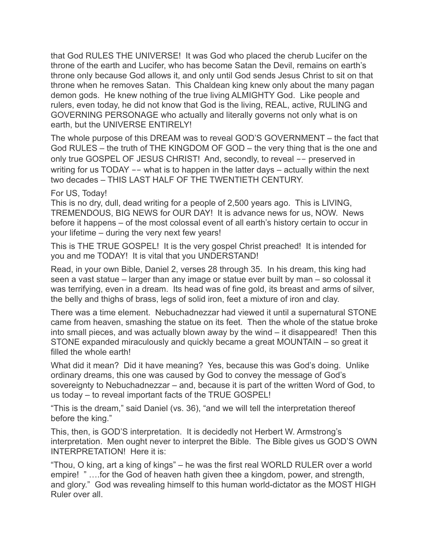that God RULES THE UNIVERSE! It was God who placed the cherub Lucifer on the throne of the earth and Lucifer, who has become Satan the Devil, remains on earth's throne only because God allows it, and only until God sends Jesus Christ to sit on that throne when he removes Satan. This Chaldean king knew only about the many pagan demon gods. He knew nothing of the true living ALMIGHTY God. Like people and rulers, even today, he did not know that God is the living, REAL, active, RULING and GOVERNING PERSONAGE who actually and literally governs not only what is on earth, but the UNIVERSE ENTIRELY!

The whole purpose of this DREAM was to reveal GOD'S GOVERNMENT – the fact that God RULES – the truth of THE KINGDOM OF GOD – the very thing that is the one and only true GOSPEL OF JESUS CHRIST! And, secondly, to reveal -- preserved in writing for us TODAY -- what is to happen in the latter days - actually within the next two decades – THIS LAST HALF OF THE TWENTIETH CENTURY.

#### For US, Today!

This is no dry, dull, dead writing for a people of 2,500 years ago. This is LIVING, TREMENDOUS, BIG NEWS for OUR DAY! It is advance news for us, NOW. News before it happens – of the most colossal event of all earth's history certain to occur in your lifetime – during the very next few years!

This is THE TRUE GOSPEL! It is the very gospel Christ preached! It is intended for you and me TODAY! It is vital that you UNDERSTAND!

Read, in your own Bible, Daniel 2, verses 28 through 35. In his dream, this king had seen a vast statue – larger than any image or statue ever built by man – so colossal it was terrifying, even in a dream. Its head was of fine gold, its breast and arms of silver, the belly and thighs of brass, legs of solid iron, feet a mixture of iron and clay.

There was a time element. Nebuchadnezzar had viewed it until a supernatural STONE came from heaven, smashing the statue on its feet. Then the whole of the statue broke into small pieces, and was actually blown away by the wind – it disappeared! Then this STONE expanded miraculously and quickly became a great MOUNTAIN – so great it filled the whole earth!

What did it mean? Did it have meaning? Yes, because this was God's doing. Unlike ordinary dreams, this one was caused by God to convey the message of God's sovereignty to Nebuchadnezzar – and, because it is part of the written Word of God, to us today – to reveal important facts of the TRUE GOSPEL!

"This is the dream," said Daniel (vs. 36), "and we will tell the interpretation thereof before the king."

This, then, is GOD'S interpretation. It is decidedly not Herbert W. Armstrong's interpretation. Men ought never to interpret the Bible. The Bible gives us GOD'S OWN INTERPRETATION! Here it is:

"Thou, O king, art a king of kings" – he was the first real WORLD RULER over a world empire! " ….for the God of heaven hath given thee a kingdom, power, and strength, and glory." God was revealing himself to this human world-dictator as the MOST HIGH Ruler over all.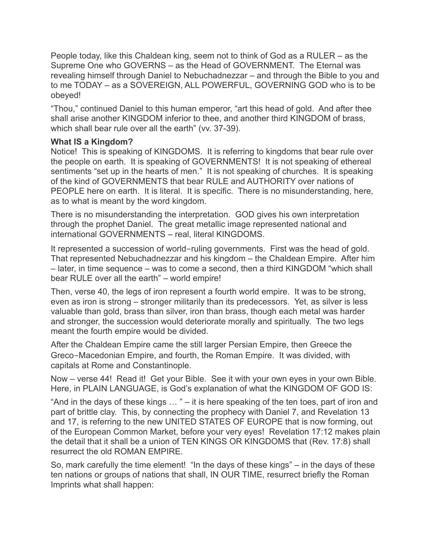People today, like this Chaldean king, seem not to think of God as a RULER – as the Supreme One who GOVERNS – as the Head of GOVERNMENT. The Eternal was revealing himself through Daniel to Nebuchadnezzar – and through the Bible to you and to me TODAY – as a SOVEREIGN, ALL POWERFUL, GOVERNING GOD who is to be obeyed!

"Thou," continued Daniel to this human emperor, "art this head of gold. And after thee shall arise another KINGDOM inferior to thee, and another third KINGDOM of brass, which shall bear rule over all the earth" (vv. 37-39).

# **What IS a Kingdom?**

Notice! This is speaking of KINGDOMS. It is referring to kingdoms that bear rule over the people on earth. It is speaking of GOVERNMENTS! It is not speaking of ethereal sentiments "set up in the hearts of men." It is not speaking of churches. It is speaking of the kind of GOVERNMENTS that bear RULE and AUTHORITY over nations of PEOPLE here on earth. It is literal. It is specific. There is no misunderstanding, here, as to what is meant by the word kingdom.

There is no misunderstanding the interpretation. GOD gives his own interpretation through the prophet Daniel. The great metallic image represented national and international GOVERNMENTS – real, literal KINGDOMS.

It represented a succession of world-ruling governments. First was the head of gold. That represented Nebuchadnezzar and his kingdom – the Chaldean Empire. After him – later, in time sequence – was to come a second, then a third KINGDOM "which shall bear RULE over all the earth" – world empire!

Then, verse 40, the legs of iron represent a fourth world empire. It was to be strong, even as iron is strong – stronger militarily than its predecessors. Yet, as silver is less valuable than gold, brass than silver, iron than brass, though each metal was harder and stronger, the succession would deteriorate morally and spiritually. The two legs meant the fourth empire would be divided.

After the Chaldean Empire came the still larger Persian Empire, then Greece the Greco-Macedonian Empire, and fourth, the Roman Empire. It was divided, with capitals at Rome and Constantinople.

Now – verse 44! Read it! Get your Bible. See it with your own eyes in your own Bible. Here, in PLAIN LANGUAGE, is God's explanation of what the KINGDOM OF GOD IS:

"And in the days of these kings  $\ldots$ " – it is here speaking of the ten toes, part of iron and part of brittle clay. This, by connecting the prophecy with Daniel 7, and Revelation 13 and 17, is referring to the new UNITED STATES OF EUROPE that is now forming, out of the European Common Market, before your very eyes! Revelation 17:12 makes plain the detail that it shall be a union of TEN KINGS OR KINGDOMS that (Rev. 17:8) shall resurrect the old ROMAN EMPIRE.

So, mark carefully the time element! "In the days of these kings" – in the days of these ten nations or groups of nations that shall, IN OUR TIME, resurrect briefly the Roman Imprints what shall happen: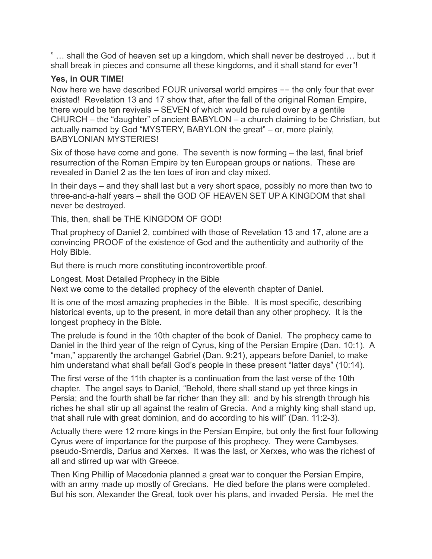" … shall the God of heaven set up a kingdom, which shall never be destroyed … but it shall break in pieces and consume all these kingdoms, and it shall stand for ever"!

# **Yes, in OUR TIME!**

Now here we have described FOUR universal world empires -- the only four that ever existed! Revelation 13 and 17 show that, after the fall of the original Roman Empire, there would be ten revivals – SEVEN of which would be ruled over by a gentile CHURCH – the "daughter" of ancient BABYLON – a church claiming to be Christian, but actually named by God "MYSTERY, BABYLON the great" – or, more plainly, BABYLONIAN MYSTERIES!

Six of those have come and gone. The seventh is now forming – the last, final brief resurrection of the Roman Empire by ten European groups or nations. These are revealed in Daniel 2 as the ten toes of iron and clay mixed.

In their days – and they shall last but a very short space, possibly no more than two to three-and-a-half years – shall the GOD OF HEAVEN SET UP A KINGDOM that shall never be destroyed.

This, then, shall be THE KINGDOM OF GOD!

That prophecy of Daniel 2, combined with those of Revelation 13 and 17, alone are a convincing PROOF of the existence of God and the authenticity and authority of the Holy Bible.

But there is much more constituting incontrovertible proof.

Longest, Most Detailed Prophecy in the Bible

Next we come to the detailed prophecy of the eleventh chapter of Daniel.

It is one of the most amazing prophecies in the Bible. It is most specific, describing historical events, up to the present, in more detail than any other prophecy. It is the longest prophecy in the Bible.

The prelude is found in the 10th chapter of the book of Daniel. The prophecy came to Daniel in the third year of the reign of Cyrus, king of the Persian Empire (Dan. 10:1). A "man," apparently the archangel Gabriel (Dan. 9:21), appears before Daniel, to make him understand what shall befall God's people in these present "latter days" (10:14).

The first verse of the 11th chapter is a continuation from the last verse of the 10th chapter. The angel says to Daniel, "Behold, there shall stand up yet three kings in Persia; and the fourth shall be far richer than they all: and by his strength through his riches he shall stir up all against the realm of Grecia. And a mighty king shall stand up, that shall rule with great dominion, and do according to his will" (Dan. 11:2-3).

Actually there were 12 more kings in the Persian Empire, but only the first four following Cyrus were of importance for the purpose of this prophecy. They were Cambyses, pseudo-Smerdis, Darius and Xerxes. It was the last, or Xerxes, who was the richest of all and stirred up war with Greece.

Then King Phillip of Macedonia planned a great war to conquer the Persian Empire, with an army made up mostly of Grecians. He died before the plans were completed. But his son, Alexander the Great, took over his plans, and invaded Persia. He met the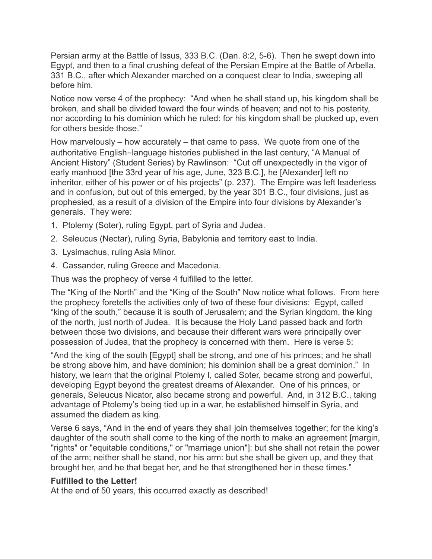Persian army at the Battle of Issus, 333 B.C. (Dan. 8:2, 5-6). Then he swept down into Egypt, and then to a final crushing defeat of the Persian Empire at the Battle of Arbella, 331 B.C., after which Alexander marched on a conquest clear to India, sweeping all before him.

Notice now verse 4 of the prophecy: "And when he shall stand up, his kingdom shall be broken, and shall be divided toward the four winds of heaven; and not to his posterity, nor according to his dominion which he ruled: for his kingdom shall be plucked up, even for others beside those."

How marvelously – how accurately – that came to pass. We quote from one of the authoritative English-language histories published in the last century, "A Manual of Ancient History" (Student Series) by Rawlinson: "Cut off unexpectedly in the vigor of early manhood [the 33rd year of his age, June, 323 B.C.], he [Alexander] left no inheritor, either of his power or of his projects" (p. 237). The Empire was left leaderless and in confusion, but out of this emerged, by the year 301 B.C., four divisions, just as prophesied, as a result of a division of the Empire into four divisions by Alexander's generals. They were:

- 1. Ptolemy (Soter), ruling Egypt, part of Syria and Judea.
- 2. Seleucus (Nectar), ruling Syria, Babylonia and territory east to India.
- 3. Lysimachus, ruling Asia Minor.
- 4. Cassander, ruling Greece and Macedonia.

Thus was the prophecy of verse 4 fulfilled to the letter.

The "King of the North" and the "King of the South" Now notice what follows. From here the prophecy foretells the activities only of two of these four divisions: Egypt, called "king of the south," because it is south of Jerusalem; and the Syrian kingdom, the king of the north, just north of Judea. It is because the Holy Land passed back and forth between those two divisions, and because their different wars were principally over possession of Judea, that the prophecy is concerned with them. Here is verse 5:

"And the king of the south [Egypt] shall be strong, and one of his princes; and he shall be strong above him, and have dominion; his dominion shall be a great dominion." In history, we learn that the original Ptolemy I, called Soter, became strong and powerful, developing Egypt beyond the greatest dreams of Alexander. One of his princes, or generals, Seleucus Nicator, also became strong and powerful. And, in 312 B.C., taking advantage of Ptolemy's being tied up in a war, he established himself in Syria, and assumed the diadem as king.

Verse 6 says, "And in the end of years they shall join themselves together; for the king's daughter of the south shall come to the king of the north to make an agreement [margin, "rights" or "equitable conditions," or "marriage union"]: but she shall not retain the power of the arm; neither shall he stand, nor his arm: but she shall be given up, and they that brought her, and he that begat her, and he that strengthened her in these times."

# **Fulfilled to the Letter!**

At the end of 50 years, this occurred exactly as described!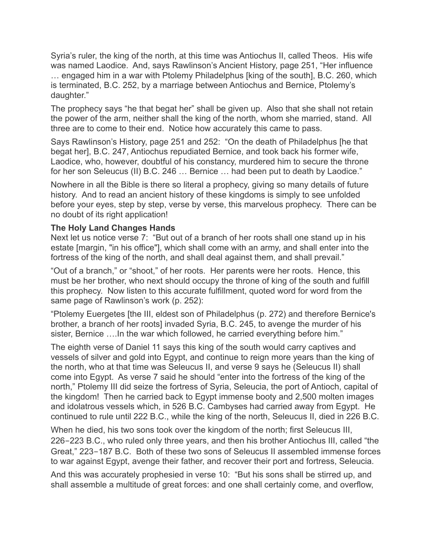Syria's ruler, the king of the north, at this time was Antiochus II, called Theos. His wife was named Laodice. And, says Rawlinson's Ancient History, page 251, "Her influence … engaged him in a war with Ptolemy Philadelphus [king of the south], B.C. 260, which is terminated, B.C. 252, by a marriage between Antiochus and Bernice, Ptolemy's daughter."

The prophecy says "he that begat her" shall be given up. Also that she shall not retain the power of the arm, neither shall the king of the north, whom she married, stand. All three are to come to their end. Notice how accurately this came to pass.

Says Rawlinson's History, page 251 and 252: "On the death of Philadelphus [he that begat her], B.C. 247, Antiochus repudiated Bernice, and took back his former wife, Laodice, who, however, doubtful of his constancy, murdered him to secure the throne for her son Seleucus (II) B.C. 246 … Bernice … had been put to death by Laodice."

Nowhere in all the Bible is there so literal a prophecy, giving so many details of future history. And to read an ancient history of these kingdoms is simply to see unfolded before your eyes, step by step, verse by verse, this marvelous prophecy. There can be no doubt of its right application!

# **The Holy Land Changes Hands**

Next let us notice verse 7: "But out of a branch of her roots shall one stand up in his estate [margin, "in his office"], which shall come with an army, and shall enter into the fortress of the king of the north, and shall deal against them, and shall prevail."

"Out of a branch," or "shoot," of her roots. Her parents were her roots. Hence, this must be her brother, who next should occupy the throne of king of the south and fulfill this prophecy. Now listen to this accurate fulfillment, quoted word for word from the same page of Rawlinson's work (p. 252):

"Ptolemy Euergetes [the III, eldest son of Philadelphus (p. 272) and therefore Bernice's brother, a branch of her roots] invaded Syria, B.C. 245, to avenge the murder of his sister, Bernice ….In the war which followed, he carried everything before him."

The eighth verse of Daniel 11 says this king of the south would carry captives and vessels of silver and gold into Egypt, and continue to reign more years than the king of the north, who at that time was Seleucus II, and verse 9 says he (Seleucus II) shall come into Egypt. As verse 7 said he should "enter into the fortress of the king of the north," Ptolemy III did seize the fortress of Syria, Seleucia, the port of Antioch, capital of the kingdom! Then he carried back to Egypt immense booty and 2,500 molten images and idolatrous vessels which, in 526 B.C. Cambyses had carried away from Egypt. He continued to rule until 222 B.C., while the king of the north, Seleucus II, died in 226 B.C.

When he died, his two sons took over the kingdom of the north; first Seleucus III, 226-223 B.C., who ruled only three years, and then his brother Antiochus III, called "the Great," 223-187 B.C. Both of these two sons of Seleucus II assembled immense forces to war against Egypt, avenge their father, and recover their port and fortress, Seleucia.

And this was accurately prophesied in verse 10: "But his sons shall be stirred up, and shall assemble a multitude of great forces: and one shall certainly come, and overflow,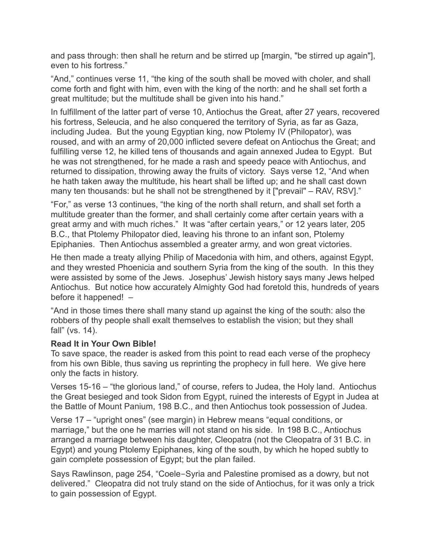and pass through: then shall he return and be stirred up [margin, "be stirred up again"], even to his fortress."

"And," continues verse 11, "the king of the south shall be moved with choler, and shall come forth and fight with him, even with the king of the north: and he shall set forth a great multitude; but the multitude shall be given into his hand."

In fulfillment of the latter part of verse 10, Antiochus the Great, after 27 years, recovered his fortress, Seleucia, and he also conquered the territory of Syria, as far as Gaza, including Judea. But the young Egyptian king, now Ptolemy IV (Philopator), was roused, and with an army of 20,000 inflicted severe defeat on Antiochus the Great; and fulfilling verse 12, he killed tens of thousands and again annexed Judea to Egypt. But he was not strengthened, for he made a rash and speedy peace with Antiochus, and returned to dissipation, throwing away the fruits of victory. Says verse 12, "And when he hath taken away the multitude, his heart shall be lifted up; and he shall cast down many ten thousands: but he shall not be strengthened by it ["prevail" – RAV, RSV]."

"For," as verse 13 continues, "the king of the north shall return, and shall set forth a multitude greater than the former, and shall certainly come after certain years with a great army and with much riches." It was "after certain years," or 12 years later, 205 B.C., that Ptolemy Philopator died, leaving his throne to an infant son, Ptolemy Epiphanies. Then Antiochus assembled a greater army, and won great victories.

He then made a treaty allying Philip of Macedonia with him, and others, against Egypt, and they wrested Phoenicia and southern Syria from the king of the south. In this they were assisted by some of the Jews. Josephus' Jewish history says many Jews helped Antiochus. But notice how accurately Almighty God had foretold this, hundreds of years before it happened! –

"And in those times there shall many stand up against the king of the south: also the robbers of thy people shall exalt themselves to establish the vision; but they shall fall" (vs. 14).

# **Read It in Your Own Bible!**

To save space, the reader is asked from this point to read each verse of the prophecy from his own Bible, thus saving us reprinting the prophecy in full here. We give here only the facts in history.

Verses 15-16 – "the glorious land," of course, refers to Judea, the Holy land. Antiochus the Great besieged and took Sidon from Egypt, ruined the interests of Egypt in Judea at the Battle of Mount Panium, 198 B.C., and then Antiochus took possession of Judea.

Verse 17 – "upright ones" (see margin) in Hebrew means "equal conditions, or marriage," but the one he marries will not stand on his side. In 198 B.C., Antiochus arranged a marriage between his daughter, Cleopatra (not the Cleopatra of 31 B.C. in Egypt) and young Ptolemy Epiphanes, king of the south, by which he hoped subtly to gain complete possession of Egypt; but the plan failed.

Says Rawlinson, page 254, "Coele-Syria and Palestine promised as a dowry, but not delivered." Cleopatra did not truly stand on the side of Antiochus, for it was only a trick to gain possession of Egypt.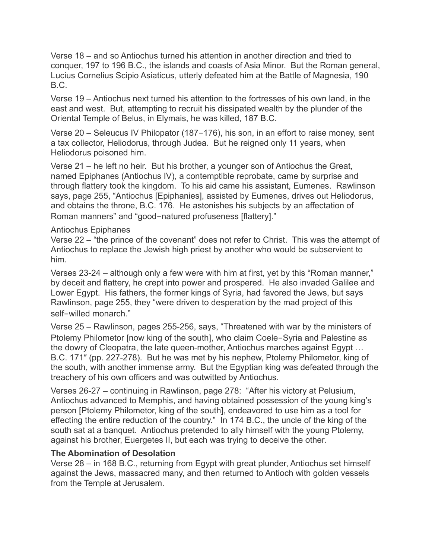Verse 18 – and so Antiochus turned his attention in another direction and tried to conquer, 197 to 196 B.C., the islands and coasts of Asia Minor. But the Roman general, Lucius Cornelius Scipio Asiaticus, utterly defeated him at the Battle of Magnesia, 190 B.C.

Verse 19 – Antiochus next turned his attention to the fortresses of his own land, in the east and west. But, attempting to recruit his dissipated wealth by the plunder of the Oriental Temple of Belus, in Elymais, he was killed, 187 B.C.

Verse 20 – Seleucus IV Philopator (187-176), his son, in an effort to raise money, sent a tax collector, Heliodorus, through Judea. But he reigned only 11 years, when Heliodorus poisoned him.

Verse 21 – he left no heir. But his brother, a younger son of Antiochus the Great, named Epiphanes (Antiochus IV), a contemptible reprobate, came by surprise and through flattery took the kingdom. To his aid came his assistant, Eumenes. Rawlinson says, page 255, "Antiochus [Epiphanies], assisted by Eumenes, drives out Heliodorus, and obtains the throne, B.C. 176. He astonishes his subjects by an affectation of Roman manners" and "good-natured profuseness [flattery]."

# Antiochus Epiphanes

Verse 22 – "the prince of the covenant" does not refer to Christ. This was the attempt of Antiochus to replace the Jewish high priest by another who would be subservient to him.

Verses 23-24 – although only a few were with him at first, yet by this "Roman manner," by deceit and flattery, he crept into power and prospered. He also invaded Galilee and Lower Egypt. His fathers, the former kings of Syria, had favored the Jews, but says Rawlinson, page 255, they "were driven to desperation by the mad project of this self-willed monarch."

Verse 25 – Rawlinson, pages 255-256, says, "Threatened with war by the ministers of Ptolemy Philometor [now king of the south], who claim Coele-Syria and Palestine as the dowry of Cleopatra, the late queen-mother, Antiochus marches against Egypt … B.C. 171″ (pp. 227-278). But he was met by his nephew, Ptolemy Philometor, king of the south, with another immense army. But the Egyptian king was defeated through the treachery of his own officers and was outwitted by Antiochus.

Verses 26-27 – continuing in Rawlinson, page 278: "After his victory at Pelusium, Antiochus advanced to Memphis, and having obtained possession of the young king's person [Ptolemy Philometor, king of the south], endeavored to use him as a tool for effecting the entire reduction of the country." In 174 B.C., the uncle of the king of the south sat at a banquet. Antiochus pretended to ally himself with the young Ptolemy, against his brother, Euergetes II, but each was trying to deceive the other.

# **The Abomination of Desolation**

Verse 28 – in 168 B.C., returning from Egypt with great plunder, Antiochus set himself against the Jews, massacred many, and then returned to Antioch with golden vessels from the Temple at Jerusalem.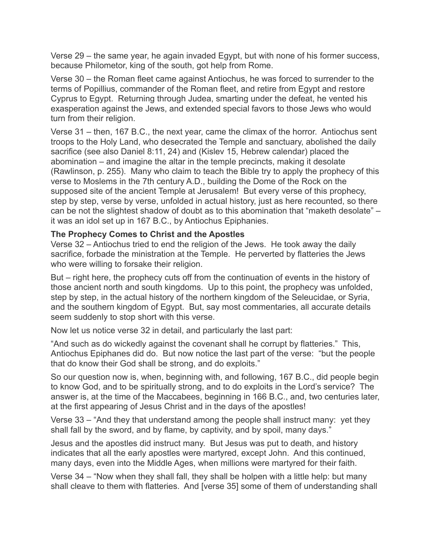Verse 29 – the same year, he again invaded Egypt, but with none of his former success, because Philometor, king of the south, got help from Rome.

Verse 30 – the Roman fleet came against Antiochus, he was forced to surrender to the terms of Popillius, commander of the Roman fleet, and retire from Egypt and restore Cyprus to Egypt. Returning through Judea, smarting under the defeat, he vented his exasperation against the Jews, and extended special favors to those Jews who would turn from their religion.

Verse 31 – then, 167 B.C., the next year, came the climax of the horror. Antiochus sent troops to the Holy Land, who desecrated the Temple and sanctuary, abolished the daily sacrifice (see also Daniel 8:11, 24) and (Kislev 15, Hebrew calendar) placed the abomination – and imagine the altar in the temple precincts, making it desolate (Rawlinson, p. 255). Many who claim to teach the Bible try to apply the prophecy of this verse to Moslems in the 7th century A.D., building the Dome of the Rock on the supposed site of the ancient Temple at Jerusalem! But every verse of this prophecy, step by step, verse by verse, unfolded in actual history, just as here recounted, so there can be not the slightest shadow of doubt as to this abomination that "maketh desolate" – it was an idol set up in 167 B.C., by Antiochus Epiphanies.

#### **The Prophecy Comes to Christ and the Apostles**

Verse 32 – Antiochus tried to end the religion of the Jews. He took away the daily sacrifice, forbade the ministration at the Temple. He perverted by flatteries the Jews who were willing to forsake their religion.

But – right here, the prophecy cuts off from the continuation of events in the history of those ancient north and south kingdoms. Up to this point, the prophecy was unfolded, step by step, in the actual history of the northern kingdom of the Seleucidae, or Syria, and the southern kingdom of Egypt. But, say most commentaries, all accurate details seem suddenly to stop short with this verse.

Now let us notice verse 32 in detail, and particularly the last part:

"And such as do wickedly against the covenant shall he corrupt by flatteries." This, Antiochus Epiphanes did do. But now notice the last part of the verse: "but the people that do know their God shall be strong, and do exploits."

So our question now is, when, beginning with, and following, 167 B.C., did people begin to know God, and to be spiritually strong, and to do exploits in the Lord's service? The answer is, at the time of the Maccabees, beginning in 166 B.C., and, two centuries later, at the first appearing of Jesus Christ and in the days of the apostles!

Verse 33 – "And they that understand among the people shall instruct many: yet they shall fall by the sword, and by flame, by captivity, and by spoil, many days."

Jesus and the apostles did instruct many. But Jesus was put to death, and history indicates that all the early apostles were martyred, except John. And this continued, many days, even into the Middle Ages, when millions were martyred for their faith.

Verse 34 – "Now when they shall fall, they shall be holpen with a little help: but many shall cleave to them with flatteries. And [verse 35] some of them of understanding shall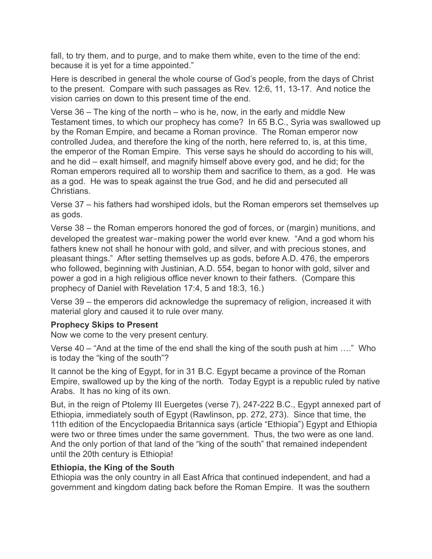fall, to try them, and to purge, and to make them white, even to the time of the end: because it is yet for a time appointed."

Here is described in general the whole course of God's people, from the days of Christ to the present. Compare with such passages as Rev. 12:6, 11, 13-17. And notice the vision carries on down to this present time of the end.

Verse 36 – The king of the north – who is he, now, in the early and middle New Testament times, to which our prophecy has come? In 65 B.C., Syria was swallowed up by the Roman Empire, and became a Roman province. The Roman emperor now controlled Judea, and therefore the king of the north, here referred to, is, at this time, the emperor of the Roman Empire. This verse says he should do according to his will, and he did – exalt himself, and magnify himself above every god, and he did; for the Roman emperors required all to worship them and sacrifice to them, as a god. He was as a god. He was to speak against the true God, and he did and persecuted all Christians.

Verse 37 – his fathers had worshiped idols, but the Roman emperors set themselves up as gods.

Verse 38 – the Roman emperors honored the god of forces, or (margin) munitions, and developed the greatest war-making power the world ever knew. "And a god whom his fathers knew not shall he honour with gold, and silver, and with precious stones, and pleasant things." After setting themselves up as gods, before A.D. 476, the emperors who followed, beginning with Justinian, A.D. 554, began to honor with gold, silver and power a god in a high religious office never known to their fathers. (Compare this prophecy of Daniel with Revelation 17:4, 5 and 18:3, 16.)

Verse 39 – the emperors did acknowledge the supremacy of religion, increased it with material glory and caused it to rule over many.

# **Prophecy Skips to Present**

Now we come to the very present century.

Verse 40 – "And at the time of the end shall the king of the south push at him …." Who is today the "king of the south"?

It cannot be the king of Egypt, for in 31 B.C. Egypt became a province of the Roman Empire, swallowed up by the king of the north. Today Egypt is a republic ruled by native Arabs. It has no king of its own.

But, in the reign of Ptolemy III Euergetes (verse 7), 247-222 B.C., Egypt annexed part of Ethiopia, immediately south of Egypt (Rawlinson, pp. 272, 273). Since that time, the 11th edition of the Encyclopaedia Britannica says (article "Ethiopia") Egypt and Ethiopia were two or three times under the same government. Thus, the two were as one land. And the only portion of that land of the "king of the south" that remained independent until the 20th century is Ethiopia!

# **Ethiopia, the King of the South**

Ethiopia was the only country in all East Africa that continued independent, and had a government and kingdom dating back before the Roman Empire. It was the southern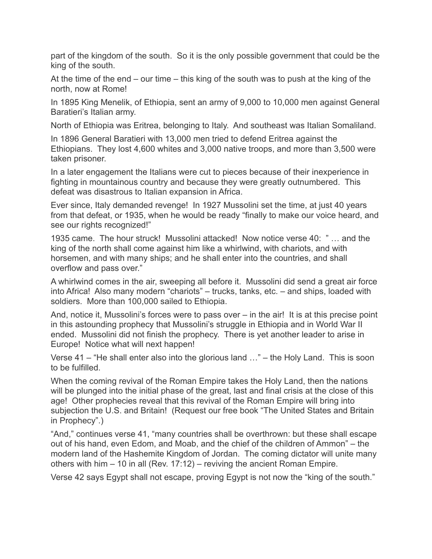part of the kingdom of the south. So it is the only possible government that could be the king of the south.

At the time of the end – our time – this king of the south was to push at the king of the north, now at Rome!

In 1895 King Menelik, of Ethiopia, sent an army of 9,000 to 10,000 men against General Baratieri's Italian army.

North of Ethiopia was Eritrea, belonging to Italy. And southeast was Italian Somaliland.

In 1896 General Baratieri with 13,000 men tried to defend Eritrea against the Ethiopians. They lost 4,600 whites and 3,000 native troops, and more than 3,500 were taken prisoner.

In a later engagement the Italians were cut to pieces because of their inexperience in fighting in mountainous country and because they were greatly outnumbered. This defeat was disastrous to Italian expansion in Africa.

Ever since, Italy demanded revenge! In 1927 Mussolini set the time, at just 40 years from that defeat, or 1935, when he would be ready "finally to make our voice heard, and see our rights recognized!"

1935 came. The hour struck! Mussolini attacked! Now notice verse 40: " … and the king of the north shall come against him like a whirlwind, with chariots, and with horsemen, and with many ships; and he shall enter into the countries, and shall overflow and pass over."

A whirlwind comes in the air, sweeping all before it. Mussolini did send a great air force into Africa! Also many modern "chariots" – trucks, tanks, etc. – and ships, loaded with soldiers. More than 100,000 sailed to Ethiopia.

And, notice it, Mussolini's forces were to pass over – in the air! It is at this precise point in this astounding prophecy that Mussolini's struggle in Ethiopia and in World War II ended. Mussolini did not finish the prophecy. There is yet another leader to arise in Europe! Notice what will next happen!

Verse 41 – "He shall enter also into the glorious land …" – the Holy Land. This is soon to be fulfilled.

When the coming revival of the Roman Empire takes the Holy Land, then the nations will be plunged into the initial phase of the great, last and final crisis at the close of this age! Other prophecies reveal that this revival of the Roman Empire will bring into subjection the U.S. and Britain! (Request our free book "The United States and Britain in Prophecy".)

"And," continues verse 41, "many countries shall be overthrown: but these shall escape out of his hand, even Edom, and Moab, and the chief of the children of Ammon" – the modern land of the Hashemite Kingdom of Jordan. The coming dictator will unite many others with him – 10 in all (Rev. 17:12) – reviving the ancient Roman Empire.

Verse 42 says Egypt shall not escape, proving Egypt is not now the "king of the south."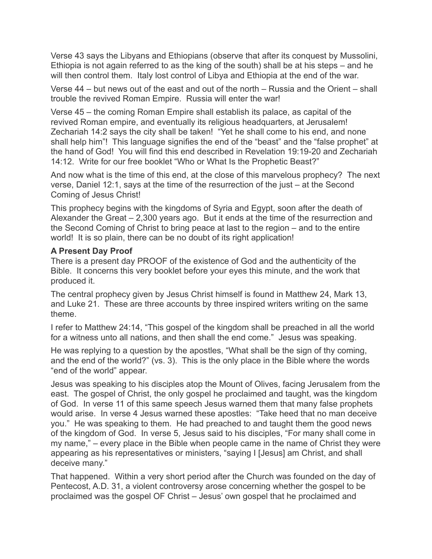Verse 43 says the Libyans and Ethiopians (observe that after its conquest by Mussolini, Ethiopia is not again referred to as the king of the south) shall be at his steps – and he will then control them. Italy lost control of Libya and Ethiopia at the end of the war.

Verse 44 – but news out of the east and out of the north – Russia and the Orient – shall trouble the revived Roman Empire. Russia will enter the war!

Verse 45 – the coming Roman Empire shall establish its palace, as capital of the revived Roman empire, and eventually its religious headquarters, at Jerusalem! Zechariah 14:2 says the city shall be taken! "Yet he shall come to his end, and none shall help him"! This language signifies the end of the "beast" and the "false prophet" at the hand of God! You will find this end described in Revelation 19:19-20 and Zechariah 14:12. Write for our free booklet "Who or What Is the Prophetic Beast?"

And now what is the time of this end, at the close of this marvelous prophecy? The next verse, Daniel 12:1, says at the time of the resurrection of the just – at the Second Coming of Jesus Christ!

This prophecy begins with the kingdoms of Syria and Egypt, soon after the death of Alexander the Great – 2,300 years ago. But it ends at the time of the resurrection and the Second Coming of Christ to bring peace at last to the region – and to the entire world! It is so plain, there can be no doubt of its right application!

# **A Present Day Proof**

There is a present day PROOF of the existence of God and the authenticity of the Bible. It concerns this very booklet before your eyes this minute, and the work that produced it.

The central prophecy given by Jesus Christ himself is found in Matthew 24, Mark 13, and Luke 21. These are three accounts by three inspired writers writing on the same theme.

I refer to Matthew 24:14, "This gospel of the kingdom shall be preached in all the world for a witness unto all nations, and then shall the end come." Jesus was speaking.

He was replying to a question by the apostles, "What shall be the sign of thy coming, and the end of the world?" (vs. 3). This is the only place in the Bible where the words "end of the world" appear.

Jesus was speaking to his disciples atop the Mount of Olives, facing Jerusalem from the east. The gospel of Christ, the only gospel he proclaimed and taught, was the kingdom of God. In verse 11 of this same speech Jesus warned them that many false prophets would arise. In verse 4 Jesus warned these apostles: "Take heed that no man deceive you." He was speaking to them. He had preached to and taught them the good news of the kingdom of God. In verse 5, Jesus said to his disciples, "For many shall come in my name," – every place in the Bible when people came in the name of Christ they were appearing as his representatives or ministers, "saying I [Jesus] am Christ, and shall deceive many."

That happened. Within a very short period after the Church was founded on the day of Pentecost, A.D. 31, a violent controversy arose concerning whether the gospel to be proclaimed was the gospel OF Christ – Jesus' own gospel that he proclaimed and